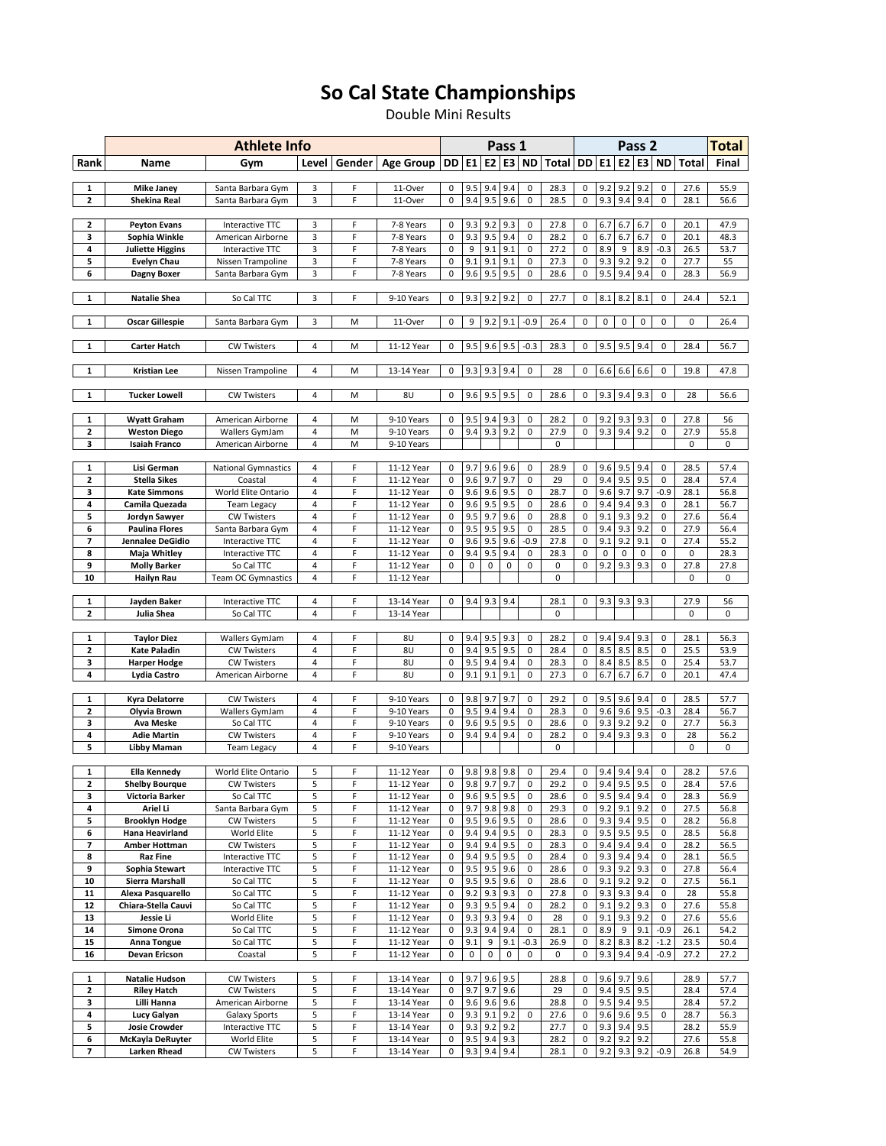## So Cal State Championships

Double Mini Results

|          |                                          | <b>Athlete Info</b>                      |                |        |                          |           |             | Pass 1                 |            |                        |                           |                |            |                              | Pass 2     |                            |              |              |  |  |  |
|----------|------------------------------------------|------------------------------------------|----------------|--------|--------------------------|-----------|-------------|------------------------|------------|------------------------|---------------------------|----------------|------------|------------------------------|------------|----------------------------|--------------|--------------|--|--|--|
| Rank     | Name                                     | Gym                                      | Level          | Gender | <b>Age Group</b>         | <b>DD</b> | E1          |                        | $E2$ E3    | <b>ND</b>              | Total   DD   E1   E2   E3 |                |            |                              |            | <b>ND</b>                  | <b>Total</b> | Final        |  |  |  |
| 1        | <b>Mike Janey</b>                        | Santa Barbara Gym                        | 3              | F      | 11-Over                  | 0         | 9.5         | 9.4                    | 9.4        | 0                      | 28.3                      | 0              | 9.2        | 9.2                          | 9.2        | 0                          | 27.6         | 55.9         |  |  |  |
| 2        | Shekina Real                             | Santa Barbara Gym                        | 3              | F      | 11-Over                  | 0         | 9.4         | 9.5                    | 9.6        | $\mathbf 0$            | 28.5                      | $\mathbf 0$    | 9.3        | 9.4                          | 9.4        | $\mathbf 0$                | 28.1         | 56.6         |  |  |  |
|          |                                          |                                          |                |        |                          |           |             |                        |            |                        |                           |                |            |                              |            |                            |              |              |  |  |  |
| 2<br>3   | <b>Peyton Evans</b><br>Sophia Winkle     | Interactive TTC<br>American Airborne     | 3<br>3         | F<br>F | 7-8 Years<br>7-8 Years   | 0<br>0    | 9.3<br>9.3  | 9.2<br>9.5             | 9.3<br>9.4 | 0<br>$\mathbf 0$       | 27.8<br>28.2              | 0<br>0         | 6.7<br>6.7 | 6.7<br>6.7                   | 6.7<br>6.7 | 0<br>$\mathbf 0$           | 20.1<br>20.1 | 47.9<br>48.3 |  |  |  |
| 4        | <b>Juliette Higgins</b>                  | Interactive TTC                          | 3              | F      | 7-8 Years                | 0         | 9           | 9.1                    | 9.1        | 0                      | 27.2                      | 0              | 8.9        | 9                            | 8.9        | $-0.3$                     | 26.5         | 53.7         |  |  |  |
| 5        | <b>Evelyn Chau</b>                       | Nissen Trampoline                        | 3              | F      | 7-8 Years                | 0         | 9.1         | 9.1                    | 9.1        | 0                      | 27.3                      | 0              | 9.3        | 9.2                          | 9.2        | $\mathbf 0$                | 27.7         | 55           |  |  |  |
| 6        | Dagny Boxer                              | Santa Barbara Gym                        | 3              | F      | 7-8 Years                | 0         | 9.6         | 9.5                    | 9.5        | $\pmb{0}$              | 28.6                      | $\pmb{0}$      | 9.5        | 9.4                          | 9.4        | 0                          | 28.3         | 56.9         |  |  |  |
| 1        | <b>Natalie Shea</b>                      | So Cal TTC                               | 3              | F      | 9-10 Years               | 0         | 9.3         | 9.2                    | 9.2        | $\pmb{0}$              | 27.7                      | 0              | 8.1        | 8.2                          | 8.1        | 0                          | 24.4         | 52.1         |  |  |  |
| 1        | <b>Oscar Gillespie</b>                   | Santa Barbara Gym                        | 3              | M      | 11-Over                  | 0         | 9           | 9.2                    | 9.1        | $-0.9$                 | 26.4                      | 0              | 0          | $\pmb{0}$                    | $\pmb{0}$  | 0                          | 0            | 26.4         |  |  |  |
| 1        | <b>Carter Hatch</b>                      | <b>CW Twisters</b>                       | 4              | M      | 11-12 Year               | 0         | 9.5         |                        | $9.6$ 9.5  | $-0.3$                 | 28.3                      | 0              | 9.5        | 9.5                          | 9.4        | 0                          | 28.4         | 56.7         |  |  |  |
| 1        | <b>Kristian Lee</b>                      | Nissen Trampoline                        | 4              | M      | 13-14 Year               | 0         | 9.3         | 9.3                    | 9.4        | 0                      | 28                        | 0              | 6.6        | 6.6                          | 6.6        | 0                          | 19.8         | 47.8         |  |  |  |
|          |                                          |                                          |                |        |                          |           |             |                        |            |                        |                           |                |            |                              |            |                            |              |              |  |  |  |
| 1        | <b>Tucker Lowell</b>                     | <b>CW Twisters</b>                       | 4              | M      | 8U                       | 0         | 9.6         | 9.5                    | 9.5        | $\mathbf 0$            | 28.6                      | 0              | 9.3        | 9.4                          | 9.3        | 0                          | 28           | 56.6         |  |  |  |
| 1        | Wyatt Graham                             | American Airborne                        | 4              | M      | 9-10 Years               | 0         | 9.5         | 9.4                    | 9.3        | 0                      | 28.2                      | 0              | 9.2        | 9.3                          | 9.3        | 0                          | 27.8         | 56           |  |  |  |
| 2        | <b>Weston Diego</b>                      | Wallers GymJam                           | 4              | M      | 9-10 Years               | 0         | 9.4         | 9.3                    | 9.2        | 0                      | 27.9                      | 0              | 9.3        | 9.4                          | 9.2        | 0                          | 27.9         | 55.8         |  |  |  |
| 3        | <b>Isaiah Franco</b>                     | American Airborne                        | $\overline{4}$ | M      | 9-10 Years               |           |             |                        |            |                        | 0                         |                |            |                              |            |                            | 0            | 0            |  |  |  |
| 1        | Lisi German                              | <b>National Gymnastics</b>               | 4              | F      | 11-12 Year               | 0         | 9.7         | 9.6                    | 9.6        | 0                      | 28.9                      | 0              | 9.6        | 9.5                          | 9.4        | 0                          | 28.5         | 57.4         |  |  |  |
| 2        | Stella Sikes                             | Coastal                                  | 4              | F      | 11-12 Year               | 0         | 9.6         | 9.7                    | 9.7        | $\pmb{0}$              | 29                        | $\mathbf 0$    | 9.4        | 9.5                          | 9.5        | $\mathbf 0$                | 28.4         | 57.4         |  |  |  |
| 3        | <b>Kate Simmons</b>                      | World Elite Ontario                      | 4              | F      | 11-12 Year               | 0         | 9.6         | 9.6                    | 9.5        | 0                      | 28.7                      | 0              | 9.6        | 9.7                          | 9.7        | -0.9                       | 28.1         | 56.8         |  |  |  |
| 4<br>5   | Camila Quezada<br>Jordyn Sawyer          | <b>Team Legacy</b><br><b>CW Twisters</b> | 4<br>4         | F<br>F | 11-12 Year<br>11-12 Year | 0<br>0    | 9.6<br>9.5  | 9.5<br>9.7             | 9.5<br>9.6 | $\pmb{0}$<br>$\pmb{0}$ | 28.6<br>28.8              | 0<br>$\pmb{0}$ | 9.4<br>9.1 | 9.4<br>9.3                   | 9.3<br>9.2 | $\mathbf 0$<br>$\mathbf 0$ | 28.1<br>27.6 | 56.7<br>56.4 |  |  |  |
| 6        | <b>Paulina Flores</b>                    | Santa Barbara Gym                        | 4              | F      | 11-12 Year               | 0         | 9.5         | 9.5                    | 9.5        | $\pmb{0}$              | 28.5                      | 0              | 9.4        | 9.3                          | 9.2        | $\mathbf 0$                | 27.9         | 56.4         |  |  |  |
| 7        | Jennalee DeGidio                         | Interactive TTC                          | 4              | F      | 11-12 Year               | 0         | 9.6         | 9.5                    | 9.6        | $-0.9$                 | 27.8                      | 0              | 9.1        | 9.2                          | 9.1        | 0                          | 27.4         | 55.2         |  |  |  |
| 8        | Maja Whitley                             | Interactive TTC                          | 4              | F      | 11-12 Year               | 0         | 9.4         | 9.5                    | 9.4        | 0                      | 28.3                      | 0              | $\pmb{0}$  | $\pmb{0}$                    | $\pmb{0}$  | 0                          | 0            | 28.3         |  |  |  |
| 9<br>10  | <b>Molly Barker</b><br>Hailyn Rau        | So Cal TTC<br><b>Team OC Gymnastics</b>  | 4<br>4         | F<br>F | 11-12 Year<br>11-12 Year | 0         | $\mathbf 0$ | $\pmb{0}$              | 0          | 0                      | 0<br>$\mathbf 0$          | $\mathbf 0$    | 9.2        | 9.3                          | 9.3        | $\mathbf 0$                | 27.8<br>0    | 27.8<br>0    |  |  |  |
|          |                                          |                                          |                |        |                          |           |             |                        |            |                        |                           |                |            |                              |            |                            |              |              |  |  |  |
| 1        | Jayden Baker                             | Interactive TTC                          | 4              | F      | 13-14 Year               | 0         | 9.4         | 9.3                    | 9.4        |                        | 28.1                      | 0              | 9.3        | 9.3                          | 9.3        |                            | 27.9         | 56           |  |  |  |
| 2        | Julia Shea                               | So Cal TTC                               | 4              | F      | 13-14 Year               |           |             |                        |            |                        | 0                         |                |            |                              |            |                            | 0            | $\mathbf 0$  |  |  |  |
| 1        | <b>Taylor Diez</b>                       | Wallers GymJam                           | 4              | F      | 8U                       | 0         | 9.4         | 9.5                    | 9.3        | $\mathbf 0$            | 28.2                      | 0              | 9.4        | 9.4                          | 9.3        | 0                          | 28.1         | 56.3         |  |  |  |
| 2        | <b>Kate Paladin</b>                      | <b>CW Twisters</b>                       | 4              | F      | 8U                       | 0         | 9.4         | 9.5                    | 9.5        | 0                      | 28.4                      | 0              | 8.5        | 8.5                          | 8.5        | 0                          | 25.5         | 53.9         |  |  |  |
| 3        | Harper Hodge                             | <b>CW Twisters</b>                       | 4              | F      | 8U                       | 0         | 9.5         | 9.4                    | 9.4        | 0                      | 28.3                      | 0              | 8.4        | 8.5                          | 8.5        | 0                          | 25.4         | 53.7         |  |  |  |
| 4        | Lydia Castro                             | American Airborne                        | 4              | F      | 8U                       | 0         | 9.1         | 9.1                    | 9.1        | $\pmb{0}$              | 27.3                      | 0              | 6.7        | 6.7                          | 6.7        | $\mathbf 0$                | 20.1         | 47.4         |  |  |  |
| 1        | Kyra Delatorre                           | <b>CW Twisters</b>                       | 4              | F      | 9-10 Years               | 0         | 9.8         | 9.7                    | 9.7        | $\mathbf 0$            | 29.2                      | 0              | 9.5        | 9.6                          | 9.4        | 0                          | 28.5         | 57.7         |  |  |  |
| 2        | Olyvia Brown                             | Wallers GymJam                           | 4              | F      | 9-10 Years               | 0         | 9.5         | 9.4                    | 9.4        | 0                      | 28.3                      | 0              | 9.6        | 9.6                          | 9.5        | $-0.3$                     | 28.4         | 56.7         |  |  |  |
| 3        | <b>Ava Meske</b>                         | So Cal TTC                               | 4              | F      | 9-10 Years               | 0         | 9.6         | 9.5                    | 9.5        | 0                      | 28.6                      | 0              | 9.3        | 9.2                          | 9.2        | 0                          | 27.7         | 56.3         |  |  |  |
| 4        | <b>Adie Martin</b>                       | <b>CW Twisters</b>                       | 4              | F      | 9-10 Years               | 0         | 9.4         | 9.4                    | 9.4        | 0                      | 28.2                      | 0              | 9.4        | 9.3                          | 9.3        | 0                          | 28           | 56.2         |  |  |  |
| 5        | Libby Maman                              | <b>Team Legacy</b>                       | 4              | F      | 9-10 Years               |           |             |                        |            |                        | $\mathbf 0$               |                |            |                              |            |                            | 0            | 0            |  |  |  |
| 1        | Ella Kennedy                             | World Elite Ontario                      | 5              | F      | 11-12 Year               | 0         | 9.8         | 9.8                    | 9.8        | 0                      | 29.4                      | 0              | 9.4        | 9.4                          | 9.4        | 0                          | 28.2         | 57.6         |  |  |  |
| 2        | <b>Shelby Bourque</b>                    | <b>CW Twisters</b>                       |                |        | 11-12 Year               | 0         |             | $9.8$ 9.7              | 9.7        | $\pmb{0}$              | 29.2                      | 0              |            | 9.4 9.5 9.5                  |            | 0                          | 28.4         | 57.6         |  |  |  |
| 3        | Victoria Barker                          | So Cal TTC                               | 5              | F      | 11-12 Year               | 0         |             | 9.6 9.5 9.5            |            | 0                      | 28.6                      | 0              |            | 9.5 9.4 9.4                  |            | 0                          | 28.3         | 56.9         |  |  |  |
| 4<br>5   | Ariel Li                                 | Santa Barbara Gym<br><b>CW Twisters</b>  | 5<br>5         | F<br>F | 11-12 Year<br>11-12 Year | 0<br>0    | 9.7<br>9.5  | 9.8<br>9.6             | 9.8<br>9.5 | 0                      | 29.3<br>28.6              | 0              | 9.2        | 9.1<br>9.3 9.4 9.5           | 9.2        | 0                          | 27.5<br>28.2 | 56.8<br>56.8 |  |  |  |
| 6        | <b>Brooklyn Hodge</b><br>Hana Heavirland | World Elite                              | 5              | F      | 11-12 Year               | 0         | 9.4         | 9.4                    | 9.5        | 0<br>0                 | 28.3                      | 0<br>0         |            | 9.5 9.5 9.5                  |            | 0<br>0                     | 28.5         | 56.8         |  |  |  |
| 7        | Amber Hottman                            | <b>CW Twisters</b>                       | 5              | F      | 11-12 Year               | 0         | 9.4         | 9.4                    | 9.5        | 0                      | 28.3                      | 0              | 9.4        | 9.4                          | 9.4        | 0                          | 28.2         | 56.5         |  |  |  |
| 8        | <b>Raz Fine</b>                          | Interactive TTC                          | 5              | F      | 11-12 Year               | 0         | 9.4         | 9.5                    | 9.5        | 0                      | 28.4                      | 0              |            | 9.3 9.4 9.4                  |            | 0                          | 28.1         | 56.5         |  |  |  |
| 9        | Sophia Stewart                           | Interactive TTC                          | 5              | F      | 11-12 Year               | 0         | 9.5         | 9.5                    | 9.6        | 0                      | 28.6                      | 0              | 9.3        | 9.2                          | 9.3        | 0                          | 27.8         | 56.4         |  |  |  |
| 10<br>11 | Sierra Marshall<br>Alexa Pasquarello     | So Cal TTC<br>So Cal TTC                 | 5<br>5         | F<br>F | 11-12 Year<br>11-12 Year | 0<br>0    | 9.5<br>9.2  | 9.5<br>9.3             | 9.6<br>9.3 | 0<br>0                 | 28.6<br>27.8              | 0<br>0         |            | $9.1$ 9.2<br>9.3 9.3 9.4     | 9.2        | 0<br>0                     | 27.5<br>28   | 56.1<br>55.8 |  |  |  |
| 12       | Chiara-Stella Cauvi                      | So Cal TTC                               | 5              | F      | 11-12 Year               | 0         | 9.3         | 9.5                    | 9.4        | 0                      | 28.2                      | 0              | 9.1        | 9.2                          | 9.3        | 0                          | 27.6         | 55.8         |  |  |  |
| 13       | Jessie Li                                | World Elite                              | 5              | F      | 11-12 Year               | 0         | 9.3         | 9.3                    | 9.4        | 0                      | 28                        | 0              |            | $9.1$ 9.3 9.2                |            | 0                          | 27.6         | 55.6         |  |  |  |
| 14       | Simone Orona                             | So Cal TTC                               | 5              | F      | 11-12 Year               | 0         | 9.3         | 9.4                    | 9.4        | 0                      | 28.1                      | 0              | 8.9        | 9                            | 9.1        | $-0.9$                     | 26.1         | 54.2         |  |  |  |
| 15<br>16 | Anna Tongue<br>Devan Ericson             | So Cal TTC<br>Coastal                    | 5<br>5         | F<br>F | 11-12 Year<br>11-12 Year | 0<br>0    | 9.1<br>0    | 9<br>0                 | 9.1<br>0   | $-0.3$<br>0            | 26.9<br>0                 | 0<br>0         |            | $8.2$ $8.3$ $8.2$<br>9.3 9.4 | 9.4        | $-1.2$<br>$-0.9$           | 23.5<br>27.2 | 50.4<br>27.2 |  |  |  |
|          |                                          |                                          |                |        |                          |           |             |                        |            |                        |                           |                |            |                              |            |                            |              |              |  |  |  |
| 1        | <b>Natalie Hudson</b>                    | <b>CW Twisters</b>                       | 5              | F      | 13-14 Year               | 0         | 9.7         | 9.6                    | 9.5        |                        | 28.8                      | 0              |            | 9.6 9.7 9.6                  |            |                            | 28.9         | 57.7         |  |  |  |
| 2        | <b>Riley Hatch</b>                       | <b>CW Twisters</b>                       | 5              | F      | 13-14 Year               | 0         | 9.7         | 9.7                    | 9.6        |                        | 29                        | $\mathbf 0$    | 9.4        | 9.5                          | 9.5        |                            | 28.4         | 57.4         |  |  |  |
| 3<br>4   | Lilli Hanna<br>Lucy Galyan               | American Airborne<br>Galaxy Sports       | 5<br>5         | F<br>F | 13-14 Year<br>13-14 Year | 0<br>0    |             | 9.6 9.6 9.6<br>9.3 9.1 | 9.2        | 0                      | 28.8<br>27.6              | 0<br>0         |            | 9.5 9.4 9.5<br>9.6 9.6 9.5   |            | 0                          | 28.4<br>28.7 | 57.2<br>56.3 |  |  |  |
| 5        | <b>Josie Crowder</b>                     | Interactive TTC                          | 5              | F      | 13-14 Year               | 0         | 9.3         | 9.2                    | 9.2        |                        | 27.7                      | 0              |            | 9.3 9.4 9.5                  |            |                            | 28.2         | 55.9         |  |  |  |
| 6        | McKayla DeRuyter                         | World Elite                              | 5              | F      | 13-14 Year               | 0         |             | 9.5 9.4                | 9.3        |                        | 28.2                      | 0              |            | $9.2$ 9.2 9.2                |            |                            | 27.6         | 55.8         |  |  |  |
| 7        | <b>Larken Rhead</b>                      | <b>CW Twisters</b>                       | 5              | F      | 13-14 Year               | 0         |             | 9.3 9.4                | 9.4        |                        | 28.1                      | $\mathbf 0$    |            | 9.2 9.3 9.2                  |            | $-0.9$                     | 26.8         | 54.9         |  |  |  |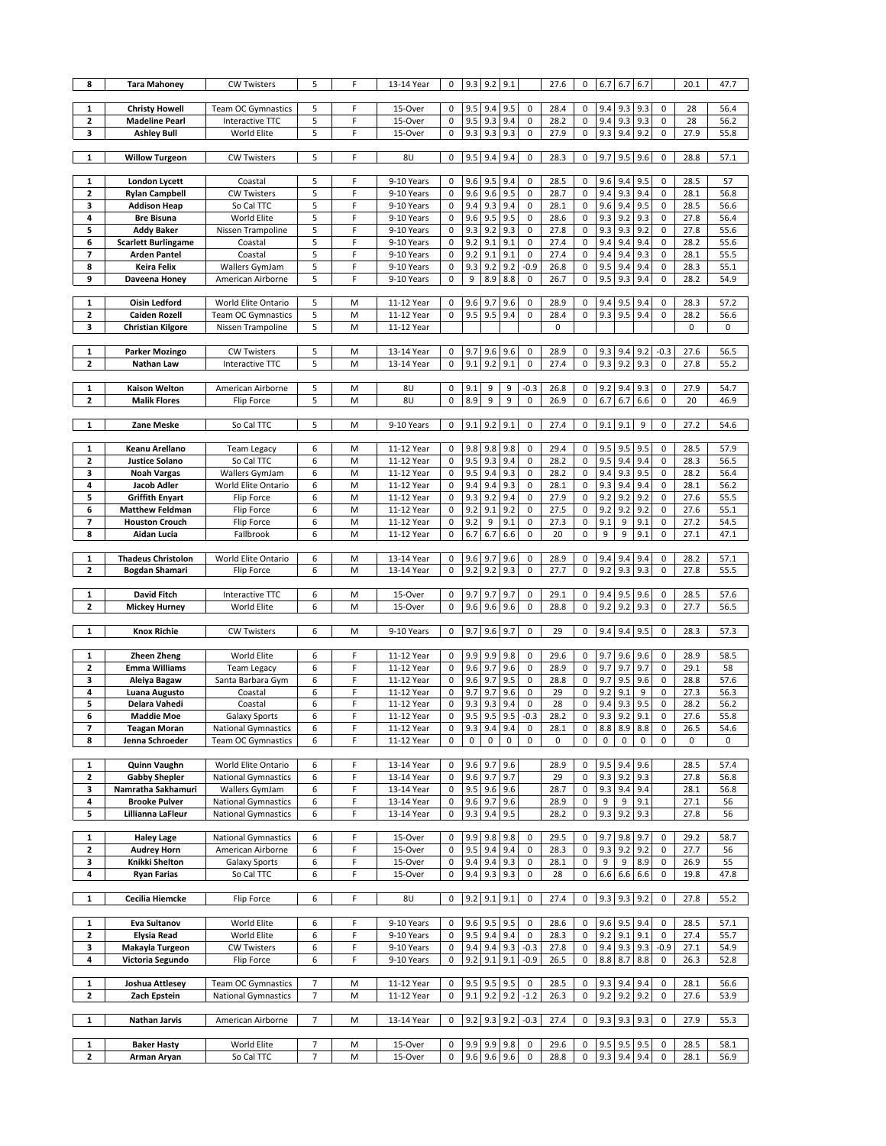| 8            | <b>Tara Mahoney</b>                                | <b>CW Twisters</b>                | 5              | F      | 13-14 Year               | 0              |            | $9.3$ 9.2                | 9.1        |                     | 27.6         | 0           |            | 6.7 6.7            | 6.7        |                  | 20.1         | 47.7         |
|--------------|----------------------------------------------------|-----------------------------------|----------------|--------|--------------------------|----------------|------------|--------------------------|------------|---------------------|--------------|-------------|------------|--------------------|------------|------------------|--------------|--------------|
|              |                                                    |                                   |                |        |                          |                |            |                          |            |                     |              |             |            |                    |            |                  |              |              |
| 1            | <b>Christy Howell</b>                              | <b>Team OC Gymnastics</b>         | 5              | F      | 15-Over                  | 0              | 9.5        | 9.4                      | 9.5        | 0                   | 28.4         | 0           | 9.4        | 9.3                | 9.3        | 0                | 28           | 56.4         |
| 2            | <b>Madeline Pearl</b>                              | Interactive TTC                   | 5              | F      | 15-Over                  | 0              | 9.5        | 9.3                      | 9.4        | 0                   | 28.2         | 0           | 9.4        | 9.3                | 9.3        | 0                | 28           | 56.2         |
| 3            | <b>Ashley Bull</b>                                 | World Elite                       | 5              | F      | 15-Over                  | 0              | 9.3        | 9.3                      | 9.3        | $\pmb{0}$           | 27.9         | 0           | 9.3        | 9.4                | 9.2        | 0                | 27.9         | 55.8         |
| $\mathbf{1}$ | <b>Willow Turgeon</b>                              | <b>CW Twisters</b>                | 5              | F      | 8U                       | $\pmb{0}$      |            | 9.5 9.4 9.4              |            | $\mathbf 0$         | 28.3         | $\mathbf 0$ |            | 9.7 9.5 9.6        |            | 0                | 28.8         | 57.1         |
|              |                                                    |                                   |                |        |                          |                |            |                          |            |                     |              |             |            |                    |            |                  |              |              |
| 1            | London Lycett                                      | Coastal                           | 5              | F      | 9-10 Years               | 0              | 9.6        | 9.5                      | 9.4        | 0                   | 28.5         | 0           | 9.6        | 9.4                | 9.5        | 0                | 28.5         | 57           |
| 2            | <b>Rylan Campbell</b>                              | <b>CW Twisters</b>                | 5              | F      | 9-10 Years               | 0              | 9.6        | 9.6                      | 9.5        | $\pmb{0}$           | 28.7         | $\bf 0$     | 9.4        | 9.3                | 9.4        | 0                | 28.1         | 56.8         |
| з            | <b>Addison Heap</b>                                | So Cal TTC                        | 5              | F      | 9-10 Years               | 0              | 9.4        | 9.3                      | 9.4        | 0                   | 28.1         | 0           | 9.6        | 9.4                | 9.5        | $\mathbf 0$      | 28.5         | 56.6         |
| 4            | <b>Bre Bisuna</b>                                  | World Elite                       | 5              | F      | 9-10 Years               | 0              | 9.6        | 9.5                      | 9.5        | $\pmb{0}$           | 28.6         | 0           | 9.3        | 9.2                | 9.3        | 0                | 27.8         | 56.4         |
| 5            | <b>Addy Baker</b>                                  | Nissen Trampoline                 | 5              | F      | 9-10 Years               | 0              | 9.3        | 9.2                      | 9.3        | 0                   | 27.8         | 0           | 9.3        | 9.3                | 9.2        | $\mathbf 0$      | 27.8         | 55.6         |
| 6            | <b>Scarlett Burlingame</b>                         | Coastal                           | 5              | F      | 9-10 Years               | 0              | 9.2        | 9.1                      | 9.1        | $\pmb{0}$           | 27.4         | 0           | 9.4        | 9.4                | 9.4        | 0                | 28.2         | 55.6         |
| 7            | <b>Arden Pantel</b>                                | Coastal                           | 5              | F      | 9-10 Years               | 0              | 9.2        | 9.1                      | 9.1        | $\pmb{0}$           | 27.4         | $\bf 0$     | 9.4        | 9.4                | 9.3        | 0                | 28.1         | 55.5         |
| 8            | Keira Felix                                        | Wallers GymJam                    | 5              | F      | 9-10 Years               | 0              | 9.3        | 9.2                      | 9.2        | $-0.9$              | 26.8         | 0           | 9.5        | 9.4                | 9.4        | 0                | 28.3         | 55.1         |
| 9            | Daveena Honey                                      | American Airborne                 | 5              | F      | 9-10 Years               | $\pmb{0}$      | 9          | 8.9                      | 8.8        | $\pmb{0}$           | 26.7         | 0           | 9.5        | 9.3                | 9.4        | 0                | 28.2         | 54.9         |
| 1            | <b>Oisin Ledford</b>                               | World Elite Ontario               | 5              | M      | 11-12 Year               | 0              | 9.6        | 9.7                      | 9.6        | 0                   | 28.9         | 0           | 9.4        | 9.5                | 9.4        | 0                | 28.3         | 57.2         |
| 2            | Caiden Rozell                                      | <b>Team OC Gymnastics</b>         | 5              | M      | 11-12 Year               | 0              | 9.5        | 9.5                      | 9.4        | 0                   | 28.4         | 0           | 9.3        | 9.5                | 9.4        | 0                | 28.2         | 56.6         |
| 3            | <b>Christian Kilgore</b>                           | Nissen Trampoline                 | 5              | M      | 11-12 Year               |                |            |                          |            |                     | 0            |             |            |                    |            |                  | 0            | 0            |
|              |                                                    |                                   |                |        |                          |                |            |                          |            |                     |              |             |            |                    |            |                  |              |              |
| 1            | <b>Parker Mozingo</b>                              | <b>CW Twisters</b>                | 5              | M      | 13-14 Year               | 0              | 9.7        | 9.6                      | 9.6        | 0                   | 28.9         | 0           | 9.3        | 9.4                | 9.2        | $-0.3$           | 27.6         | 56.5         |
| 2            | Nathan Law                                         | Interactive TTC                   | 5              | M      | 13-14 Year               | 0              | 9.1        | 9.2                      | 9.1        | $\pmb{0}$           | 27.4         | 0           | 9.3        | 9.2                | 9.3        | $\mathbf 0$      | 27.8         | 55.2         |
|              |                                                    |                                   |                |        |                          |                |            |                          |            |                     |              |             |            |                    |            |                  |              |              |
| 1            | Kaison Welton                                      | American Airborne                 | 5              | M      | 8U                       | 0              | 9.1        | 9                        | 9          | $-0.3$              | 26.8         | 0           | 9.2        | 9.4                | 9.3        | 0                | 27.9         | 54.7         |
| 2            | <b>Malik Flores</b>                                | Flip Force                        | 5              | M      | 8U                       | 0              | 8.9        | 9                        | 9          | $\pmb{0}$           | 26.9         | 0           | 6.7        | 6.7                | 6.6        | 0                | 20           | 46.9         |
|              |                                                    |                                   |                |        |                          |                |            |                          |            |                     |              |             |            |                    |            |                  |              |              |
| 1            | Zane Meske                                         | So Cal TTC                        | 5              | M      | 9-10 Years               | 0              | 9.1        | 9.2                      | 9.1        | 0                   | 27.4         | 0           | 9.1        | 9.1                | 9          | 0                | 27.2         | 54.6         |
| 1            | Keanu Arellano                                     | <b>Team Legacy</b>                | 6              | M      | 11-12 Year               | 0              | 9.8        | 9.8                      | 9.8        | 0                   | 29.4         | 0           | 9.5        | 9.5                | 9.5        | 0                | 28.5         | 57.9         |
| 2            | <b>Justice Solano</b>                              | So Cal TTC                        | 6              | M      | 11-12 Year               | $\pmb{0}$      | 9.5        | 9.3                      | 9.4        | $\pmb{0}$           | 28.2         | 0           | 9.5        | 9.4                | 9.4        | 0                | 28.3         | 56.5         |
| 3            | <b>Noah Vargas</b>                                 | Wallers GymJam                    | 6              | M      | 11-12 Year               | 0              | 9.5        | 9.4                      | 9.3        | 0                   | 28.2         | 0           | 9.4        | 9.3                | 9.5        | $\mathbf 0$      | 28.2         | 56.4         |
| 4            | Jacob Adler                                        | World Elite Ontario               | 6              | M      | 11-12 Year               | 0              | 9.4        | 9.4                      | 9.3        | $\pmb{0}$           | 28.1         | 0           | 9.3        | 9.4                | 9.4        | 0                | 28.1         | 56.2         |
| 5            | <b>Griffith Enyart</b>                             | Flip Force                        | 6              | M      | 11-12 Year               | 0              | 9.3        | 9.2                      | 9.4        | $\pmb{0}$           | 27.9         | $\bf 0$     | 9.2        | 9.2                | 9.2        | 0                | 27.6         | 55.5         |
| 6            | <b>Matthew Feldman</b>                             | Flip Force                        | 6              | M      | 11-12 Year               | 0              | 9.2        | 9.1                      | 9.2        | 0                   | 27.5         | 0           | 9.2        | 9.2                | 9.2        | 0                | 27.6         | 55.1         |
| 7            | <b>Houston Crouch</b>                              | Flip Force                        | 6              | M      | 11-12 Year               | 0              | 9.2        | 9                        | 9.1        | $\pmb{0}$           | 27.3         | 0           | 9.1        | 9                  | 9.1        | 0                | 27.2         | 54.5         |
| 8            | Aidan Lucia                                        | Fallbrook                         | 6              | M      | 11-12 Year               | 0              | 6.7        | 6.7                      | 6.6        | 0                   | 20           | 0           | 9          | 9                  | 9.1        | $\mathbf 0$      | 27.1         | 47.1         |
|              |                                                    |                                   |                |        |                          |                |            |                          |            |                     |              |             |            |                    |            |                  |              |              |
| 1<br>2       | <b>Thadeus Christolon</b><br><b>Bogdan Shamari</b> | World Elite Ontario<br>Flip Force | 6<br>6         | M<br>M | 13-14 Year<br>13-14 Year | 0<br>$\pmb{0}$ | 9.6<br>9.2 | 9.7<br>9.2               | 9.6<br>9.3 | 0<br>$\pmb{0}$      | 28.9<br>27.7 | 0<br>0      | 9.4<br>9.2 | 9.4<br>9.3         | 9.4<br>9.3 | 0<br>$\mathbf 0$ | 28.2<br>27.8 | 57.1<br>55.5 |
|              |                                                    |                                   |                |        |                          |                |            |                          |            |                     |              |             |            |                    |            |                  |              |              |
|              |                                                    |                                   |                |        |                          |                |            |                          |            |                     |              |             |            |                    |            |                  |              |              |
| 1            | David Fitch                                        |                                   | 6              | M      | 15-Over                  | 0              | 9.7        |                          |            | 0                   |              | 0           | 9.4        |                    |            | 0                |              |              |
| 2            | <b>Mickey Hurney</b>                               | Interactive TTC<br>World Elite    | 6              | M      | 15-Over                  | 0              | 9.6        | 9.7<br>9.6               | 9.7<br>9.6 | $\pmb{0}$           | 29.1<br>28.8 | 0           | 9.2        | 9.5<br>9.2         | 9.6<br>9.3 | 0                | 28.5<br>27.7 | 57.6<br>56.5 |
|              |                                                    |                                   |                |        |                          |                |            |                          |            |                     |              |             |            |                    |            |                  |              |              |
| 1            | <b>Knox Richie</b>                                 | <b>CW Twisters</b>                | 6              | M      | 9-10 Years               | 0              | 9.7        | $9.6$ 9.7                |            | $\pmb{0}$           | 29           | 0           | 9.4        | 9.4                | 9.5        | 0                | 28.3         | 57.3         |
|              |                                                    |                                   |                |        |                          |                |            |                          |            |                     |              |             |            |                    |            |                  |              |              |
| 1            | <b>Zheen Zheng</b>                                 | World Elite                       | 6              | F      | 11-12 Year               | 0              | 9.9        | 9.9                      | 9.8        | 0                   | 29.6         | 0           | 9.7        | 9.6                | 9.6        | 0                | 28.9         | 58.5         |
| 2            | <b>Emma Williams</b>                               | <b>Team Legacy</b>                | 6              | F      | 11-12 Year               | 0              | 9.6        | 9.7                      | 9.6        | $\pmb{0}$           | 28.9         | 0           | 9.7        | 9.7                | 9.7        | 0                | 29.1         | 58           |
| 3            | Aleiya Bagaw                                       | Santa Barbara Gym                 | 6              | F      | 11-12 Year               | 0              | 9.6        | 9.7                      | 9.5        | $\pmb{0}$           | 28.8         | 0           | 9.7        | 9.5                | 9.6        | 0                | 28.8         | 57.6         |
| 4            | Luana Augusto                                      | Coastal                           | 6              | F      | 11-12 Year               | 0              | 9.7        | 9.7                      | 9.6        | $\pmb{0}$           | 29           | 0           | 9.2        | 9.1                | 9          | 0                | 27.3         | 56.3         |
| 5<br>6       | Delara Vahedi<br><b>Maddie Moe</b>                 | Coastal<br><b>Galaxy Sports</b>   | 6<br>6         | F<br>F | 11-12 Year<br>11-12 Year | 0<br>0         | 9.3<br>9.5 | 9.3<br>9.5               | 9.4<br>9.5 | $\pmb{0}$<br>$-0.3$ | 28<br>28.2   | 0<br>0      | 9.4<br>9.3 | 9.3<br>9.2         | 9.5<br>9.1 | 0<br>0           | 28.2<br>27.6 | 56.2<br>55.8 |
| 7            | Teagan Moran                                       | National Gymnastics               | 6              | F      | 11-12 Year               | 0              | 9.3        | 9.4                      | 9.4        | $\pmb{0}$           | 28.1         | 0           |            | $8.8$ 8.9          | 8.8        | 0                | 26.5         | 54.6         |
| 8            | Jenna Schroeder                                    | Team OC Gymnastics                | 6              | F      | 11-12 Year               | 0              | 0          | $\pmb{0}$                | $\pmb{0}$  | 0                   | 0            | 0           | $\pmb{0}$  | $\pmb{0}$          | $\pmb{0}$  | 0                | 0            | 0            |
|              |                                                    |                                   |                |        |                          |                |            |                          |            |                     |              |             |            |                    |            |                  |              |              |
| 1            | Quinn Vaughn                                       | World Elite Ontario               | 6              | F      | 13-14 Year               | 0              | 9.6        | 9.7                      | 9.6        |                     | 28.9         | 0           | 9.5        | 9.4 9.6            |            |                  | 28.5         | 57.4         |
| 2            | <b>Gabby Shepler</b>                               | <b>National Gymnastics</b>        | 6              | F      | 13-14 Year               | 0              | 9.6        | 9.7                      | 9.7        |                     | 29           | 0           | 9.3        | 9.2                | 9.3        |                  | 27.8         | 56.8         |
| 3            | Namratha Sakhamuri                                 | Wallers GymJam                    | 6              | F      | 13-14 Year               | 0              | 9.5        | 9.6                      | 9.6        |                     | 28.7         | 0           | 9.3        | 9.4                | 9.4        |                  | 28.1         | 56.8         |
| 4            | <b>Brooke Pulver</b>                               | <b>National Gymnastics</b>        | 6              | F      | 13-14 Year               | 0              | 9.6        | 9.7                      | 9.6        |                     | 28.9         | 0           | 9          | 9                  | 9.1        |                  | 27.1         | 56           |
| 5            | Lillianna LaFleur                                  | <b>National Gymnastics</b>        | 6              | F      | 13-14 Year               | 0              | 9.3        | 9.4                      | 9.5        |                     | 28.2         | 0           | 9.3        | $9.2$ 9.3          |            |                  | 27.8         | 56           |
| 1            | <b>Haley Lage</b>                                  | National Gymnastics               | 6              | F      | 15-Over                  | 0              | 9.9        | 9.8                      | 9.8        | $\mathbf 0$         | 29.5         | 0           | 9.7        | 9.8                | 9.7        | 0                | 29.2         | 58.7         |
| 2            | <b>Audrey Horn</b>                                 | American Airborne                 | 6              | F      | 15-Over                  | 0              | 9.5        | 9.4                      | 9.4        | $\pmb{0}$           | 28.3         | 0           | 9.3        | 9.2                | 9.2        | 0                | 27.7         | 56           |
| 3            | Knikki Shelton                                     | <b>Galaxy Sports</b>              | 6              | F      | 15-Over                  | 0              | 9.4        | 9.4                      | 9.3        | $\pmb{0}$           | 28.1         | 0           | 9          | 9                  | 8.9        | 0                | 26.9         | 55           |
| 4            | <b>Ryan Farias</b>                                 | So Cal TTC                        | 6              | F      | 15-Over                  | 0              | 9.4        | 9.3                      | 9.3        | $\pmb{0}$           | 28           | 0           | 6.6        | 6.6                | 6.6        | 0                | 19.8         | 47.8         |
|              |                                                    |                                   |                |        |                          |                |            |                          |            |                     |              |             |            |                    |            |                  |              |              |
| 1            | Cecilia Hiemcke                                    | <b>Flip Force</b>                 | 6              | F      | 8U                       | 0              | 9.2        | 9.1                      | 9.1        | $\pmb{0}$           | 27.4         | 0           | 9.3        | 9.3                | 9.2        | $\mathbf 0$      | 27.8         | 55.2         |
|              |                                                    |                                   |                |        |                          |                |            |                          |            |                     |              |             |            |                    |            |                  |              |              |
| 1<br>2       | <b>Eva Sultanov</b><br><b>Elysia Read</b>          | World Elite<br>World Elite        | 6<br>6         | F<br>F | 9-10 Years<br>9-10 Years | 0<br>$\pmb{0}$ | 9.6<br>9.5 | 9.5<br>9.4               | 9.5<br>9.4 | 0<br>0              | 28.6<br>28.3 | 0<br>0      | 9.6<br>9.2 | 9.5<br>9.1         | 9.4<br>9.1 | 0<br>$\pmb{0}$   | 28.5<br>27.4 | 57.1<br>55.7 |
| 3            | Makayla Turgeon                                    | <b>CW Twisters</b>                | 6              | F      | 9-10 Years               | $\pmb{0}$      | 9.4        | 9.4                      | 9.3        | $-0.3$              | 27.8         | 0           | 9.4        | $9.3$ 9.3          |            | $-0.9$           | 27.1         | 54.9         |
| 4            | Victoria Segundo                                   | <b>Flip Force</b>                 | 6              | F      | 9-10 Years               | 0              | 9.2        | 9.1                      | 9.1        | $-0.9$              | 26.5         | 0           | 8.8        | 8.7                | 8.8        | 0                | 26.3         | 52.8         |
|              |                                                    |                                   |                |        |                          |                |            |                          |            |                     |              |             |            |                    |            |                  |              |              |
| 1            | Joshua Attlesey                                    | Team OC Gymnastics                | $\overline{7}$ | M      | 11-12 Year               | 0              | 9.5        | 9.5                      | 9.5        | 0                   | 28.5         | 0           | 9.3        | 9.4                | 9.4        | 0                | 28.1         | 56.6         |
| 2            | Zach Epstein                                       | <b>National Gymnastics</b>        | $\overline{7}$ | M      | 11-12 Year               | 0              | 9.1        | 9.2                      | 9.2        | $-1.2$              | 26.3         | 0           | 9.2        | 9.2                | 9.2        | $\mathbf 0$      | 27.6         | 53.9         |
|              |                                                    |                                   |                |        |                          |                |            |                          |            |                     |              |             |            |                    |            |                  |              |              |
| 1            | Nathan Jarvis                                      | American Airborne                 | 7              | M      | 13-14 Year               | 0              | 9.2        | 9.3                      | 9.2        | $-0.3$              | 27.4         | 0           | 9.3        | 9.3                | 9.3        | 0                | 27.9         | 55.3         |
| 1            | <b>Baker Hasty</b>                                 | World Elite                       | 7              | M      | 15-Over                  | 0              | 9.9        | $9.9$ 9.8<br>9.6 9.6 9.6 |            | 0                   | 29.6         | 0           | 9.5        | 9.5<br>9.3 9.4 9.4 | 9.5        | 0                | 28.5         | 58.1         |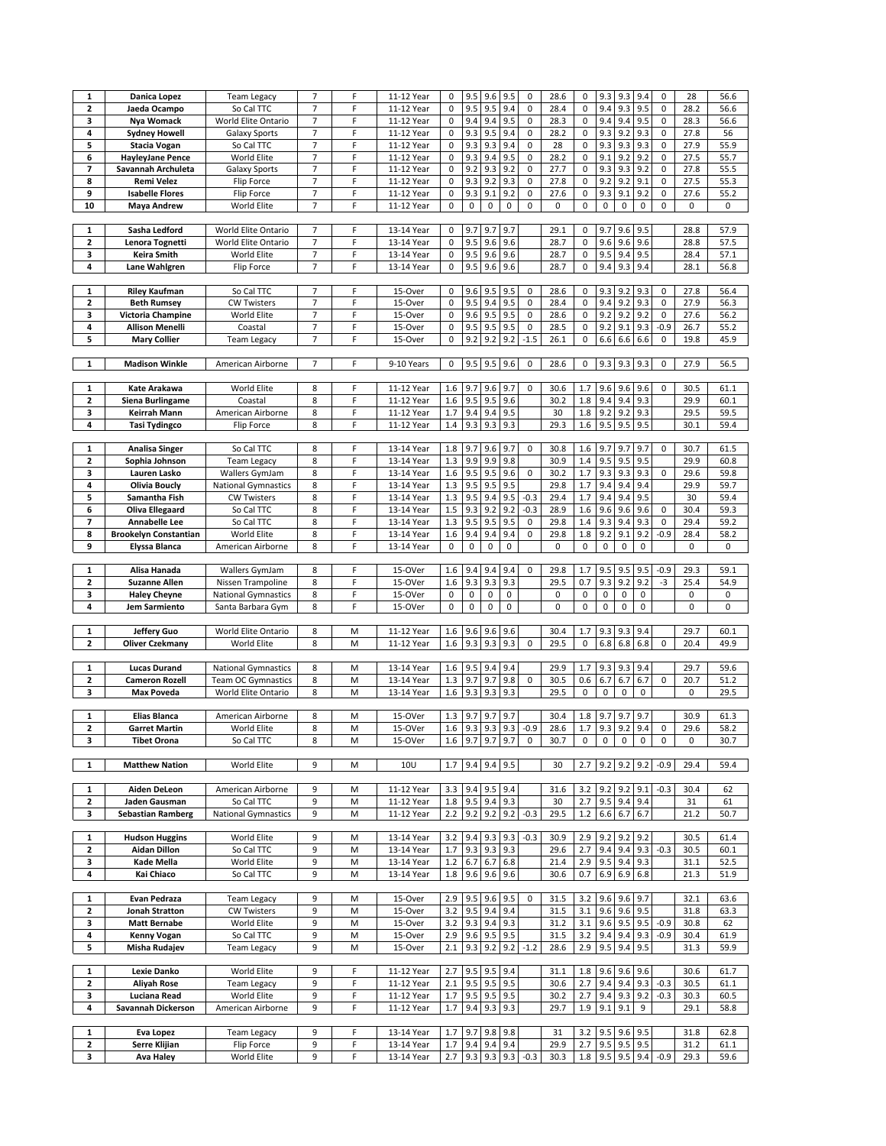| 1<br>2                  |                              |                            |                |   |            |                   |           |           |             |                          |             |             |           |             |           |           |      |      |
|-------------------------|------------------------------|----------------------------|----------------|---|------------|-------------------|-----------|-----------|-------------|--------------------------|-------------|-------------|-----------|-------------|-----------|-----------|------|------|
|                         | Danica Lopez                 | <b>Team Legacy</b>         | 7              | F | 11-12 Year | 0                 | 9.5       | 9.6       | 9.5         | 0                        | 28.6        | $\mathbf 0$ | 9.3       | 9.3         | 9.4       | 0         | 28   | 56.6 |
|                         | Jaeda Ocampo                 | So Cal TTC                 | 7              | F | 11-12 Year | 0                 | 9.5       | 9.5       | 9.4         | 0                        | 28.4        | $\mathbf 0$ | 9.4       | 9.3         | 9.5       | 0         | 28.2 | 56.6 |
| 3                       | Nya Womack                   | World Elite Ontario        | $\overline{7}$ | F | 11-12 Year | 0                 | 9.4       | 9.4       | 9.5         | $\pmb{0}$                | 28.3        | 0           | 9.4       | 9.4         | 9.5       | 0         | 28.3 | 56.6 |
| 4                       | <b>Sydney Howell</b>         |                            | $\overline{7}$ | F | 11-12 Year | 0                 | 9.3       | 9.5       | 9.4         | $\pmb{0}$                | 28.2        | $\pmb{0}$   | 9.3       | 9.2         | 9.3       | $\pmb{0}$ | 27.8 | 56   |
|                         |                              | Galaxy Sports              |                |   |            |                   |           |           |             |                          |             |             |           |             |           |           |      |      |
| 5                       | <b>Stacia Vogan</b>          | So Cal TTC                 | $\overline{7}$ | F | 11-12 Year | 0                 | 9.3       | 9.3       | 9.4         | $\pmb{0}$                | 28          | 0           | 9.3       | 9.3         | 9.3       | 0         | 27.9 | 55.9 |
| 6                       | <b>HayleyJane Pence</b>      | World Elite                | 7              | F | 11-12 Year | 0                 | 9.3       | 9.4       | 9.5         | $\pmb{0}$                | 28.2        | $\pmb{0}$   | 9.1       | 9.2         | 9.2       | 0         | 27.5 | 55.7 |
| 7                       | Savannah Archuleta           | <b>Galaxy Sports</b>       | 7              | F | 11-12 Year | 0                 | 9.2       | 9.3       | 9.2         | $\pmb{0}$                | 27.7        | 0           | 9.3       | 9.3         | 9.2       | $\pmb{0}$ | 27.8 | 55.5 |
|                         |                              |                            |                |   |            |                   |           |           |             |                          |             |             |           |             |           |           |      |      |
| 8                       | <b>Remi Velez</b>            | <b>Flip Force</b>          | 7              | F | 11-12 Year | 0                 | 9.3       | 9.2       | 9.3         | $\pmb{0}$                | 27.8        | $\mathbf 0$ | 9.2       | 9.2         | 9.1       | 0         | 27.5 | 55.3 |
| 9                       | <b>Isabelle Flores</b>       | Flip Force                 | $\overline{7}$ | F | 11-12 Year | 0                 | 9.3       | 9.1       | 9.2         | $\pmb{0}$                | 27.6        | $\pmb{0}$   | 9.3       | 9.1         | 9.2       | $\pmb{0}$ | 27.6 | 55.2 |
| 10                      | <b>Maya Andrew</b>           | World Elite                | $\overline{7}$ | F | 11-12 Year | 0                 | $\pmb{0}$ | 0         | 0           | $\pmb{0}$                | $\pmb{0}$   | $\pmb{0}$   | 0         | 0           | 0         | 0         | 0    | 0    |
|                         |                              |                            |                |   |            |                   |           |           |             |                          |             |             |           |             |           |           |      |      |
|                         |                              |                            |                |   |            |                   |           |           |             |                          |             |             |           |             |           |           |      |      |
| 1                       | Sasha Ledford                | World Elite Ontario        | 7              | F | 13-14 Year | 0                 | 9.7       | 9.7       | 9.7         |                          | 29.1        | 0           | 9.7       | 9.6         | 9.5       |           | 28.8 | 57.9 |
| 2                       | Lenora Tognetti              | World Elite Ontario        | $\overline{7}$ | F | 13-14 Year | 0                 | 9.5       | 9.6       | 9.6         |                          | 28.7        | $\mathbf 0$ | 9.6       | 9.6         | 9.6       |           | 28.8 | 57.5 |
|                         |                              |                            |                |   |            |                   |           |           |             |                          |             |             |           |             |           |           |      |      |
| 3                       | Keira Smith                  | World Elite                | $\overline{7}$ | F | 13-14 Year | 0                 | 9.5       | 9.6       | 9.6         |                          | 28.7        | $\pmb{0}$   | 9.5       | 9.4         | 9.5       |           | 28.4 | 57.1 |
| 4                       | Lane Wahlgren                | <b>Flip Force</b>          | $\overline{7}$ | F | 13-14 Year | 0                 | 9.5       | 9.6       | 9.6         |                          | 28.7        | 0           | 9.4       | 9.3         | 9.4       |           | 28.1 | 56.8 |
|                         |                              |                            |                |   |            |                   |           |           |             |                          |             |             |           |             |           |           |      |      |
|                         |                              |                            |                |   |            |                   |           |           |             |                          |             |             |           |             |           |           |      |      |
| 1                       | <b>Riley Kaufman</b>         | So Cal TTC                 | 7              | F | 15-Over    | 0                 | 9.6       | 9.5       | 9.5         | 0                        | 28.6        | 0           | 9.3       | 9.2         | 9.3       | 0         | 27.8 | 56.4 |
| $\mathbf{z}$            | <b>Beth Rumsey</b>           | <b>CW Twisters</b>         | $\overline{7}$ | F | 15-Over    | 0                 | 9.5       | 9.4       | 9.5         | 0                        | 28.4        | $\mathbf 0$ | 9.4       | 9.2         | 9.3       | 0         | 27.9 | 56.3 |
| 3                       | Victoria Champine            | World Elite                | 7              | F | 15-Over    | 0                 | 9.6       | 9.5       | 9.5         | $\pmb{0}$                | 28.6        | $\pmb{0}$   | 9.2       | 9.2         | 9.2       | $\pmb{0}$ | 27.6 | 56.2 |
|                         |                              |                            |                |   |            |                   |           |           |             |                          |             |             |           |             |           |           |      |      |
| 4                       | Allison Menelli              | Coastal                    | $\overline{7}$ | F | 15-Over    | 0                 | 9.5       | 9.5       | 9.5         | $\pmb{0}$                | 28.5        | 0           | 9.2       | 9.1         | 9.3       | $-0.9$    | 26.7 | 55.2 |
| 5                       | <b>Mary Collier</b>          | <b>Team Legacy</b>         | 7              | F | 15-Over    | 0                 | 9.2       | 9.2       | 9.2         | $-1.5$                   | 26.1        | $\pmb{0}$   | 6.6       | 6.6         | 6.6       | 0         | 19.8 | 45.9 |
|                         |                              |                            |                |   |            |                   |           |           |             |                          |             |             |           |             |           |           |      |      |
|                         |                              |                            |                |   |            |                   |           |           |             |                          |             |             |           |             |           |           |      |      |
| 1                       | <b>Madison Winkle</b>        | American Airborne          | 7              | F | 9-10 Years | 0                 | 9.5       | 9.5       | 9.6         | $\pmb{0}$                | 28.6        | 0           |           | 9.3 9.3     | 9.3       | 0         | 27.9 | 56.5 |
|                         |                              |                            |                |   |            |                   |           |           |             |                          |             |             |           |             |           |           |      |      |
| 1                       | Kate Arakawa                 | World Elite                | 8              | F | 11-12 Year | 1.6               | 9.7       | 9.6       | 9.7         | 0                        | 30.6        | 1.7         | 9.6       | 9.6         | 9.6       | 0         | 30.5 | 61.1 |
|                         |                              |                            |                |   |            |                   |           |           |             |                          |             |             |           |             |           |           |      |      |
| 2                       | Siena Burlingame             | Coastal                    | 8              | F | 11-12 Year | 1.6               | 9.5       | 9.5       | 9.6         |                          | 30.2        | 1.8         | 9.4       | 9.4         | 9.3       |           | 29.9 | 60.1 |
| 3                       | Keirrah Mann                 | American Airborne          | 8              | F | 11-12 Year | 1.7               | 9.4       | 9.4       | 9.5         |                          | 30          | 1.8         | 9.2       | 9.2         | 9.3       |           | 29.5 | 59.5 |
| 4                       | Tasi Tydingco                | Flip Force                 | 8              | F | 11-12 Year | 1.4               | 9.3       | 9.3       | 9.3         |                          | 29.3        | 1.6         | 9.5       | 9.5         | 9.5       |           | 30.1 | 59.4 |
|                         |                              |                            |                |   |            |                   |           |           |             |                          |             |             |           |             |           |           |      |      |
|                         |                              |                            |                |   |            |                   |           |           |             |                          |             |             |           |             |           |           |      |      |
| 1                       | <b>Analisa Singer</b>        | So Cal TTC                 | 8              | F | 13-14 Year | 1.8               | 9.7       | 9.6       | 9.7         | $\pmb{0}$                | 30.8        | 1.6         | 9.7       | 9.7         | 9.7       | 0         | 30.7 | 61.5 |
| 2                       | Sophia Johnson               | <b>Team Legacy</b>         | 8              | F | 13-14 Year | 1.3               | 9.9       | 9.9       | 9.8         |                          | 30.9        | 1.4         | 9.5       | 9.5         | 9.5       |           | 29.9 | 60.8 |
|                         |                              |                            |                |   |            |                   |           |           |             |                          |             |             |           |             |           |           |      |      |
| 3                       | Lauren Lasko                 | Wallers GymJam             | 8              | F | 13-14 Year | 1.6               | 9.5       | 9.5       | 9.6         | 0                        | 30.2        | 1.7         | 9.3       | 9.3         | 9.3       | 0         | 29.6 | 59.8 |
| 4                       | <b>Olivia Boucly</b>         | <b>National Gymnastics</b> | 8              | F | 13-14 Year | 1.3               | 9.5       | 9.5       | 9.5         |                          | 29.8        | 1.7         | 9.4       | 9.4         | 9.4       |           | 29.9 | 59.7 |
| 5                       | Samantha Fish                | <b>CW Twisters</b>         | 8              | F | 13-14 Year | 1.3               | 9.5       | 9.4       | 9.5         | $-0.3$                   | 29.4        | 1.7         | 9.4       | 9.4         | 9.5       |           | 30   | 59.4 |
|                         |                              |                            | 8              | F |            |                   |           |           |             |                          | 28.9        |             |           |             |           |           |      | 59.3 |
| 6                       | Oliva Ellegaard              | So Cal TTC                 |                |   | 13-14 Year | 1.5               | 9.3       | 9.2       | 9.2         | $-0.3$                   |             | 1.6         | 9.6       | 9.6         | 9.6       | 0         | 30.4 |      |
| 7                       | Annabelle Lee                | So Cal TTC                 | 8              | F | 13-14 Year | 1.3               | 9.5       | 9.5       | 9.5         | $\pmb{0}$                | 29.8        | 1.4         | 9.3       | 9.4         | 9.3       | 0         | 29.4 | 59.2 |
| 8                       | <b>Brookelyn Constantian</b> | World Elite                | 8              | F | 13-14 Year | 1.6               | 9.4       | 9.4       | 9.4         | 0                        | 29.8        | 1.8         | 9.2       | 9.1         | 9.2       | $-0.9$    | 28.4 | 58.2 |
| 9                       |                              | American Airborne          | 8              | F | 13-14 Year | $\pmb{0}$         | $\pmb{0}$ | $\pmb{0}$ | $\mathbf 0$ |                          | $\mathbf 0$ | 0           | $\pmb{0}$ | $\pmb{0}$   | $\pmb{0}$ |           | 0    | 0    |
|                         | Elyssa Blanca                |                            |                |   |            |                   |           |           |             |                          |             |             |           |             |           |           |      |      |
|                         |                              |                            |                |   |            |                   |           |           |             |                          |             |             |           |             |           |           |      |      |
| 1                       | Alisa Hanada                 | Wallers GymJam             | 8              | F | 15-OVer    | 1.6               | 9.4       | 9.4       | 9.4         | 0                        | 29.8        | 1.7         | 9.5       | 9.5         | 9.5       | $-0.9$    | 29.3 | 59.1 |
| 2                       | <b>Suzanne Allen</b>         | Nissen Trampoline          | 8              | F | 15-OVer    | 1.6               | 9.3       | 9.3       | 9.3         |                          | 29.5        | 0.7         | 9.3       | 9.2         | 9.2       | $-3$      | 25.4 | 54.9 |
|                         |                              |                            |                |   |            |                   |           |           |             |                          |             |             |           |             |           |           |      |      |
| 3                       | <b>Haley Cheyne</b>          | <b>National Gymnastics</b> | 8              | F | 15-OVer    | 0                 | 0         | $\pmb{0}$ | 0           |                          | 0           | $\mathbf 0$ | 0         | 0           | $\pmb{0}$ |           | 0    | 0    |
| 4                       | Jem Sarmiento                | Santa Barbara Gym          | 8              | F | 15-OVer    | 0                 | 0         | $\pmb{0}$ | $\mathbf 0$ |                          | $\mathbf 0$ | $\mathbf 0$ | $\pmb{0}$ | $\pmb{0}$   | $\pmb{0}$ |           | 0    | 0    |
|                         |                              |                            |                |   |            |                   |           |           |             |                          |             |             |           |             |           |           |      |      |
|                         |                              |                            |                |   |            |                   |           |           |             |                          |             |             |           |             |           |           |      |      |
| 1                       | <b>Jeffery Guo</b>           | World Elite Ontario        | 8              | M | 11-12 Year | 1.6               | 9.6       | 9.6       | 9.6         |                          | 30.4        | 1.7         | 9.3       | 9.3         | 9.4       |           | 29.7 | 60.1 |
| 2                       | <b>Oliver Czekmany</b>       | World Elite                | 8              | M | 11-12 Year | 1.6               | 9.3       | 9.3       | 9.3         | $\pmb{0}$                | 29.5        | $\pmb{0}$   | 6.8       | 6.8         | 6.8       | 0         | 20.4 | 49.9 |
|                         |                              |                            |                |   |            |                   |           |           |             |                          |             |             |           |             |           |           |      |      |
|                         |                              |                            |                |   |            |                   |           |           |             |                          |             |             |           |             |           |           |      |      |
| 1                       | <b>Lucas Durand</b>          | <b>National Gymnastics</b> | 8              | M | 13-14 Year | 1.6               | 9.5       | 9.4       | 9.4         |                          | 29.9        | 1.7         | 9.3       | 9.3         | 9.4       |           | 29.7 | 59.6 |
| $\overline{\mathbf{2}}$ | <b>Cameron Rozell</b>        | <b>Team OC Gymnastics</b>  | 8              |   |            |                   |           |           |             | $\pmb{0}$                | 30.5        | 0.6         |           |             |           |           |      |      |
| 3                       |                              |                            |                | M | 13-14 Year | 1.3               | 9.7       | 9.7       | 9.8         |                          |             |             | 6.7       | 6.7         | 6.7       | $\pmb{0}$ | 20.7 | 51.2 |
|                         |                              |                            |                |   |            |                   |           |           |             |                          |             |             |           |             |           |           |      |      |
|                         | <b>Max Poveda</b>            | World Elite Ontario        | 8              | M | 13-14 Year | 1.6               | 9.3       | 9.3       | 9.3         |                          | 29.5        | 0           | 0         | $\pmb{0}$   | 0         |           | 0    | 29.5 |
|                         |                              |                            |                |   |            |                   |           |           |             |                          |             |             |           |             |           |           |      |      |
| 1                       | Elias Blanca                 | American Airborne          | 8              | M | 15-OVer    | 1.3               | 9.7       | 9.7       | 9.7         |                          | 30.4        | 1.8         | 9.7       | 9.7         | 9.7       |           | 30.9 | 61.3 |
| $\overline{\mathbf{2}}$ |                              |                            | 8              | M | 15-OVer    | 1.6               |           |           |             |                          |             | 1.7         |           |             | 9.4       | 0         | 29.6 |      |
|                         | <b>Garret Martin</b>         | World Elite                |                |   |            |                   | 9.3       | 9.3       | 9.3         | $-0.9$                   | 28.6        |             | 9.3       | 9.2         |           |           |      | 58.2 |
| з                       | Tibet Orona                  | So Cal TTC                 | 8              | M | 15-OVer    | $1.6$ 9.7 9.7 9.7 |           |           |             | $\bf{0}$                 | 30.7        | 0           | 0         | 0           | 0         | 0         | 0    | 30.7 |
|                         |                              |                            |                |   |            |                   |           |           |             |                          |             |             |           |             |           |           |      |      |
| $\mathbf{1}$            | <b>Matthew Nation</b>        | World Elite                | 9              | M | <b>10U</b> | 1.7               | 9.4       | 9.4 9.5   |             |                          | 30          | 2.7         | 9.2       | 9.2         | 9.2       | $-0.9$    | 29.4 | 59.4 |
|                         |                              |                            |                |   |            |                   |           |           |             |                          |             |             |           |             |           |           |      |      |
|                         |                              |                            |                |   |            |                   |           |           |             |                          |             |             |           |             |           |           |      |      |
| 1                       | <b>Aiden DeLeon</b>          | American Airborne          | 9              | M | 11-12 Year | 3.3               | 9.4       | 9.5       | 9.4         |                          | 31.6        | 3.2         | 9.2       | 9.2         | 9.1       | $-0.3$    | 30.4 | 62   |
| 2                       | Jaden Gausman                | So Cal TTC                 | 9              | M | 11-12 Year | 1.8               | 9.5       | 9.4       | 9.3         |                          | 30          | 2.7         | 9.5       | 9.4         | 9.4       |           | 31   | 61   |
| 3                       | <b>Sebastian Ramberg</b>     | <b>National Gymnastics</b> | 9              | М | 11-12 Year | 2.2               | 9.2       | 9.2       |             | $9.2 - 0.3$              | 29.5        | 1.2         | 6.6       | 6.7         | 6.7       |           | 21.2 | 50.7 |
|                         |                              |                            |                |   |            |                   |           |           |             |                          |             |             |           |             |           |           |      |      |
|                         |                              |                            |                |   |            |                   |           |           |             |                          |             |             |           |             |           |           |      |      |
| 1                       | <b>Hudson Huggins</b>        | World Elite                | 9              | M | 13-14 Year | 3.2               | 9.4       | 9.3       | 9.3         | $-0.3$                   | 30.9        | 2.9         | 9.2       | 9.2         | 9.2       |           | 30.5 | 61.4 |
| 2                       | <b>Aidan Dillon</b>          | So Cal TTC                 | 9              | M | 13-14 Year | 1.7               | 9.3       | 9.3       | 9.3         |                          | 29.6        | 2.7         | 9.4       | 9.4         | 9.3       | $-0.3$    | 30.5 | 60.1 |
|                         |                              |                            |                |   |            |                   |           |           |             |                          |             |             |           |             |           |           |      |      |
| 3                       | Kade Mella                   | World Elite                | 9              | M | 13-14 Year | 1.2               | 6.7       | 6.7       | 6.8         |                          | 21.4        | 2.9         | 9.5       | 9.4         | 9.3       |           | 31.1 | 52.5 |
| 4                       | Kai Chiaco                   | So Cal TTC                 | 9              | M | 13-14 Year | 1.8               | 9.6       | $9.6$ 9.6 |             |                          | 30.6        | 0.7         | 6.9       | 6.9         | 6.8       |           | 21.3 | 51.9 |
|                         |                              |                            |                |   |            |                   |           |           |             |                          |             |             |           |             |           |           |      |      |
| 1                       | Evan Pedraza                 | <b>Team Legacy</b>         | 9              | M | 15-Over    | 2.9               | 9.5       | 9.6       | 9.5         | 0                        | 31.5        | 3.2         | 9.6       | 9.6         | 9.7       |           | 32.1 | 63.6 |
|                         |                              |                            |                |   |            |                   |           |           |             |                          |             |             |           |             |           |           |      |      |
| 2                       | <b>Jonah Stratton</b>        | <b>CW Twisters</b>         | 9              | M | 15-Over    | 3.2               | 9.5       | 9.4       | 9.4         |                          | 31.5        | 3.1         | 9.6       | 9.6         | 9.5       |           | 31.8 | 63.3 |
| 3                       | <b>Matt Bernabe</b>          | World Elite                | 9              | M | 15-Over    | 3.2               | 9.3       | 9.4       | 9.3         |                          | 31.2        | 3.1         | 9.6       | 9.5         | 9.5       | $-0.9$    | 30.8 | 62   |
| 4                       | Kenny Vogan                  | So Cal TTC                 | 9              | М | 15-Over    | 2.9               | 9.6       | 9.5       | 9.5         |                          | 31.5        | 3.2         | 9.4       | 9.4         | 9.3       | $-0.9$    | 30.4 | 61.9 |
|                         |                              |                            |                |   |            |                   |           |           |             |                          |             |             |           |             |           |           |      |      |
| 5                       | Misha Rudajev                | <b>Team Legacy</b>         | 9              | М | 15-Over    | 2.1               | 9.3       | 9.2       | 9.2         | $-1.2$                   | 28.6        | 2.9         | 9.5       | 9.4         | 9.5       |           | 31.3 | 59.9 |
|                         |                              |                            |                |   |            |                   |           |           |             |                          |             |             |           |             |           |           |      |      |
| 1                       | Lexie Danko                  | World Elite                | 9              | F | 11-12 Year | 2.7               | 9.5       | 9.5       | 9.4         |                          | 31.1        | 1.8         | 9.6       | 9.6         | 9.6       |           | 30.6 | 61.7 |
|                         |                              |                            |                |   |            |                   |           |           |             |                          |             |             |           |             |           |           |      |      |
| $\overline{\mathbf{2}}$ | <b>Aliyah Rose</b>           | <b>Team Legacy</b>         | 9              | F | 11-12 Year | 2.1               | 9.5       | 9.5       | 9.5         |                          | 30.6        | 2.7         | 9.4       | 9.4         | 9.3       | $-0.3$    | 30.5 | 61.1 |
| 3                       | Luciana Read                 | World Elite                | 9              | F | 11-12 Year | 1.7               | 9.5       | 9.5       | 9.5         |                          | 30.2        | 2.7         | 9.4       | 9.3         | 9.2       | $-0.3$    | 30.3 | 60.5 |
| 4                       | Savannah Dickerson           | American Airborne          | 9              | F | 11-12 Year | 1.7               | 9.4       | 9.3       | 9.3         |                          | 29.7        | 1.9         | 9.1       | 9.1         | 9         |           | 29.1 | 58.8 |
|                         |                              |                            |                |   |            |                   |           |           |             |                          |             |             |           |             |           |           |      |      |
|                         |                              |                            |                |   |            |                   |           |           |             |                          |             |             |           |             |           |           |      |      |
| 1                       | <b>Eva Lopez</b>             | <b>Team Legacy</b>         | 9              | F | 13-14 Year | 1.7               | 9.7       | 9.8       | 9.8         |                          | 31          | 3.2         | 9.5       | 9.6         | 9.5       |           | 31.8 | 62.8 |
| 2                       | Serre Klijian                | <b>Flip Force</b>          | 9              | F | 13-14 Year | 1.7               | 9.4       | 9.4       | 9.4         |                          | 29.9        | 2.7         | 9.5       | 9.5         | 9.5       |           | 31.2 | 61.1 |
| 3                       | <b>Ava Haley</b>             | World Elite                | 9              | F | 13-14 Year | 2.7               |           |           |             | $9.3$ $9.3$ $9.3$ $-0.3$ | 30.3        | 1.8         |           | 9.5 9.5 9.4 |           | $-0.9$    | 29.3 | 59.6 |